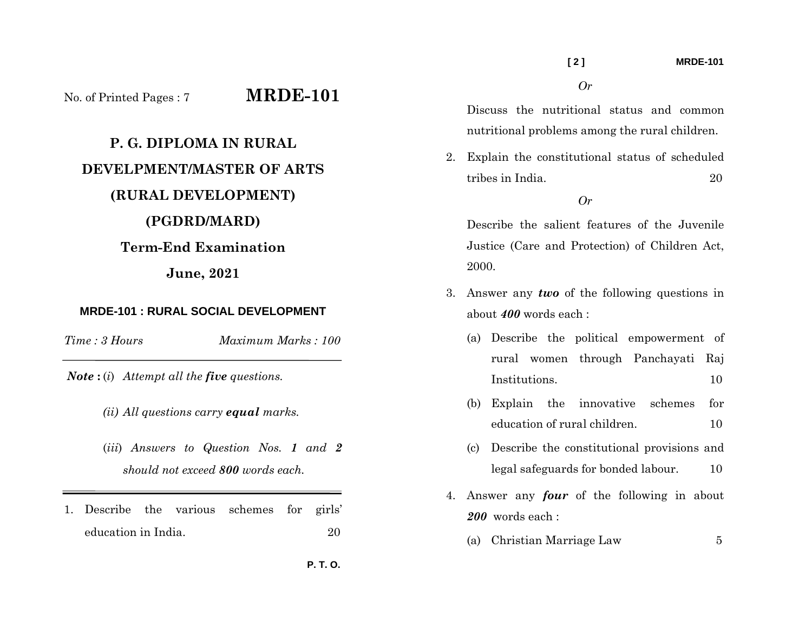No. of Printed Pages : 7 **MRDE-101**

# **P. G. DIPLOMA IN RURAL DEVELPMENT/MASTER OF ARTS (RURAL DEVELOPMENT) (PGDRD/MARD) Term-End Examination**

## **June, 2021**

### **MRDE-101 : RURAL SOCIAL DEVELOPMENT**

*Time : 3 Hours*

*Maximum Marks : 100* 

*Note* **:** (*i*) *Attempt all the five questions.* 

- *(ii) All questions carry equal marks.*
- (*iii*) *Answers to Question Nos. 1 and 2 should not exceed 800 words each.*
- 1. Describe the various schemes for girls' education in India. 20

Discuss the nutritional status and common nutritional problems among the rural children.

*Or* 

2. Explain the constitutional status of scheduled tribes in India. 20

#### *Or*

Describe the salient features of the Juvenile Justice (Care and Protection) of Children Act, 2000.

- 3. Answer any *two* of the following questions in about *400* words each :
	- (a) Describe the political empowerment of rural women through Panchayati Raj Institutions. 10
	- (b) Explain the innovative schemes for education of rural children. 10
	- (c) Describe the constitutional provisions and legal safeguards for bonded labour. 10
- 4. Answer any *four* of the following in about *200* words each :
	- (a) Christian Marriage Law 5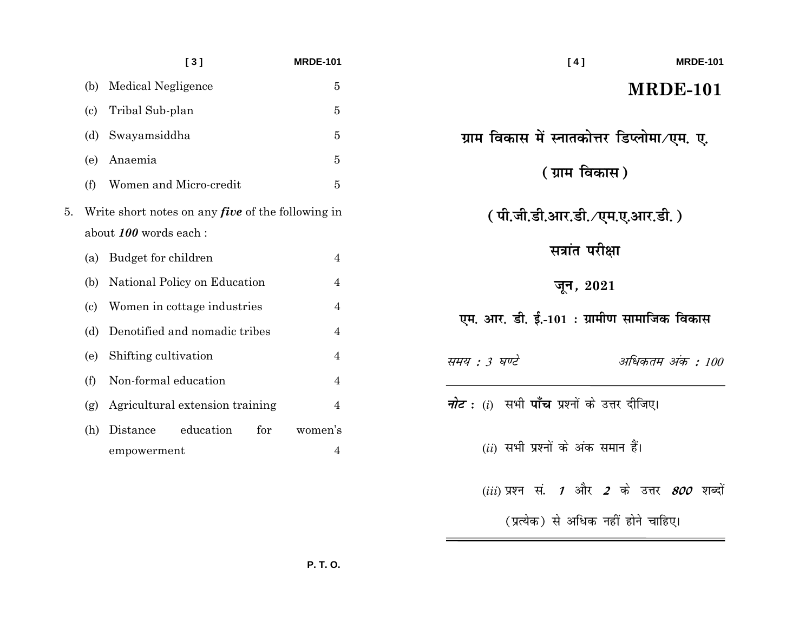|    |                                                                                   | [3]                                         | <b>MRDE-101</b>           | <b>MRDE-101</b><br>[4]                                       |  |
|----|-----------------------------------------------------------------------------------|---------------------------------------------|---------------------------|--------------------------------------------------------------|--|
|    | (b)                                                                               | <b>Medical Negligence</b>                   | $\bf 5$                   | <b>MRDE-101</b>                                              |  |
|    | $\left( \mathrm{c}\right)$                                                        | Tribal Sub-plan                             | $\overline{5}$            |                                                              |  |
|    | (d)                                                                               | Swayamsiddha                                | 5                         | ग्राम विकास में स्नातकोत्तर डिप्लोमा∕एम. ए.                  |  |
|    | (e)                                                                               | Anaemia                                     | 5                         |                                                              |  |
|    | (f)                                                                               | Women and Micro-credit                      | $\overline{5}$            | ( ग्राम विकास )                                              |  |
| 5. | Write short notes on any <i>five</i> of the following in<br>about 100 words each: |                                             |                           | ( पी.जी.डी.आर.डी. ∕एम.ए.आर.डी. )                             |  |
|    | (a)                                                                               | Budget for children                         | 4                         | सत्रांत परीक्षा                                              |  |
|    | (b)                                                                               | National Policy on Education                | 4                         | जून <i>,</i> 2021                                            |  |
|    | $\left( \mathrm{c}\right)$                                                        | Women in cottage industries                 | 4                         | एम. आर. डी. ई.-101 : ग्रामीण सामाजिक विकास                   |  |
|    | (d)                                                                               | Denotified and nomadic tribes               | 4                         |                                                              |  |
|    | (e)                                                                               | Shifting cultivation                        | 4                         | अधिकतम अंक : 100<br>समय : 3 घण्टे                            |  |
|    | (f)                                                                               | Non-formal education                        | 4                         |                                                              |  |
|    | (g)                                                                               | Agricultural extension training             | 4                         | <i>नोट</i> : (i)  सभी <b>पाँच</b> प्रश्नों के उत्तर दीजिए।   |  |
|    | (h)                                                                               | education<br>for<br>Distance<br>empowerment | women's<br>$\overline{4}$ | $(ii)$ सभी प्रश्नों के अंक समान हैं।                         |  |
|    |                                                                                   |                                             |                           | $(iii)$ प्रश्न सं. 1 और 2 के उत्तर $\mathcal{800}$<br>शब्दों |  |

(प्रत्येक) से अधिक नहीं होने चाहिए।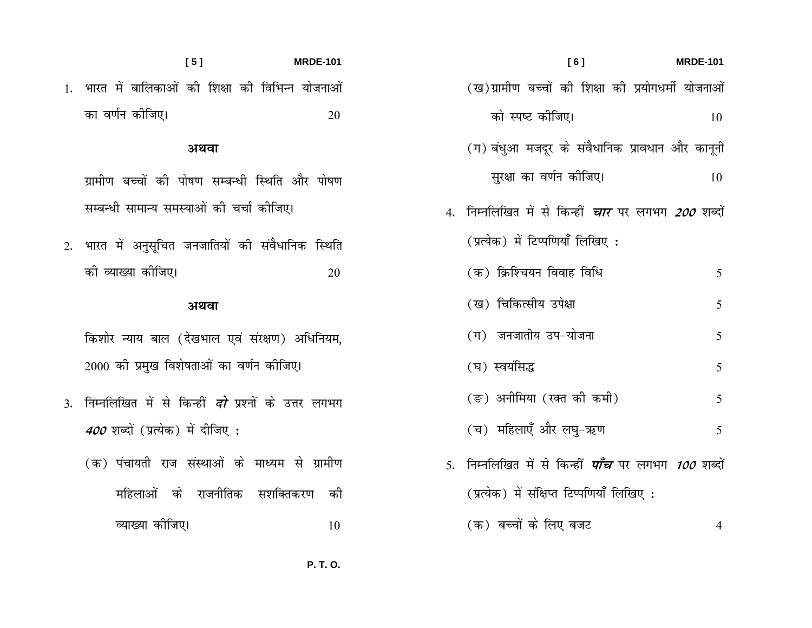| $= -101$ | [6]                                                                 | <b>MRDE-101</b> |
|----------|---------------------------------------------------------------------|-----------------|
| नाओं     | (ख)ग्रामीण बच्चों की शिक्षा की प्रयोगधर्मी योजनाओं                  |                 |
| 20       | को स्पष्ट कीजिए।                                                    | 10              |
|          | (ग) बंधुआ मजदूर के संवैधानिक प्रावधान और कानूनी                     |                 |
| पोषण     | सुरक्षा का वर्णन कीजिए।                                             | 10              |
|          | 4.  निम्नलिखित में से किन्हीं <i>चार</i> पर लगभग <i>200</i> शब्दों  |                 |
| स्थेति   | (प्रत्येक) में टिप्पणियाँ लिखिए:                                    |                 |
| 20       | (क) क्रिश्चियन विवाह विधि                                           | 5               |
|          | (ख) चिकित्सीय उपेक्षा                                               | 5               |
| नेयम,    | (ग) जनजातीय उप-योजना                                                | 5               |
|          | (घ) स्वयंसिद्ध                                                      | 5               |
| गिभग     | (ङ) अनीमिया (रक्त की कमी)                                           | 5               |
|          | (च) महिलाएँ और लघु-ऋण                                               | 5               |
| ामीण     | 5.  निम्नलिखित में से किन्हीं <i><b>पाँच</b> पर लगभग 100</i> शब्दों |                 |
| की       | (प्रत्येक) में संक्षिप्त टिप्पणियाँ लिखिए :                         |                 |
| 10       | (क) बच्चों के लिए बजट                                               | 4               |

 $[5]$ **MRDE** 1. भारत में बालिकाओं की शिक्षा की विभिन्न योज का वर्णन कीजिए।

### अथवा

- ग्रामीण बच्चों की पोषण सम्बन्धी स्थिति और ग सम्बन्धी सामान्य समस्याओं की चर्चा कीजिए।
- 2. भारत में अनुसूचित जनजातियों की संवैधानिक रि की व्याख्या कीजिए।

### अथवा

किशोर न्याय बाल (देखभाल एवं संरक्षण) अधिनि 2000 की प्रमुख विशेषताओं का वर्णन कीजिए।

- 3. निम्नलिखित में से किन्हीं *दो* प्रश्नों के उत्तर ल 400 शब्दों (प्रत्येक) में दीजिए :
	- (क) पंचायती राज संस्थाओं के माध्यम से ग्र महिलाओं के राजनीतिक सशक्तिकरण व्याख्या कीजिए।